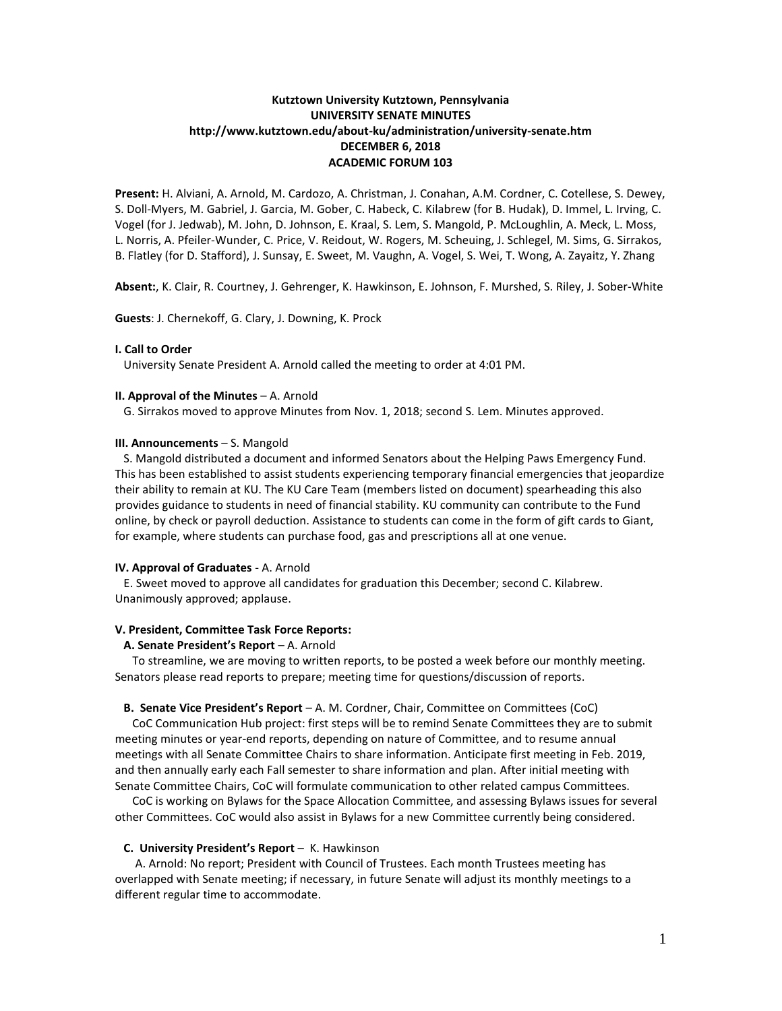# **Kutztown University Kutztown, Pennsylvania UNIVERSITY SENATE MINUTES http://www.kutztown.edu/about-ku/administration/university-senate.htm DECEMBER 6, 2018 ACADEMIC FORUM 103**

**Present:** H. Alviani, A. Arnold, M. Cardozo, A. Christman, J. Conahan, A.M. Cordner, C. Cotellese, S. Dewey, S. Doll-Myers, M. Gabriel, J. Garcia, M. Gober, C. Habeck, C. Kilabrew (for B. Hudak), D. Immel, L. Irving, C. Vogel (for J. Jedwab), M. John, D. Johnson, E. Kraal, S. Lem, S. Mangold, P. McLoughlin, A. Meck, L. Moss, L. Norris, A. Pfeiler-Wunder, C. Price, V. Reidout, W. Rogers, M. Scheuing, J. Schlegel, M. Sims, G. Sirrakos, B. Flatley (for D. Stafford), J. Sunsay, E. Sweet, M. Vaughn, A. Vogel, S. Wei, T. Wong, A. Zayaitz, Y. Zhang

**Absent:**, K. Clair, R. Courtney, J. Gehrenger, K. Hawkinson, E. Johnson, F. Murshed, S. Riley, J. Sober-White

**Guests**: J. Chernekoff, G. Clary, J. Downing, K. Prock

### **I. Call to Order**

University Senate President A. Arnold called the meeting to order at 4:01 PM.

#### **II. Approval of the Minutes** – A. Arnold

G. Sirrakos moved to approve Minutes from Nov. 1, 2018; second S. Lem. Minutes approved.

### **III. Announcements** – S. Mangold

 S. Mangold distributed a document and informed Senators about the Helping Paws Emergency Fund. This has been established to assist students experiencing temporary financial emergencies that jeopardize their ability to remain at KU. The KU Care Team (members listed on document) spearheading this also provides guidance to students in need of financial stability. KU community can contribute to the Fund online, by check or payroll deduction. Assistance to students can come in the form of gift cards to Giant, for example, where students can purchase food, gas and prescriptions all at one venue.

### **IV. Approval of Graduates** - A. Arnold

 E. Sweet moved to approve all candidates for graduation this December; second C. Kilabrew. Unanimously approved; applause.

### **V. President, Committee Task Force Reports:**

# **A. Senate President's Report** – A. Arnold

 To streamline, we are moving to written reports, to be posted a week before our monthly meeting. Senators please read reports to prepare; meeting time for questions/discussion of reports.

# **B. Senate Vice President's Report** – A. M. Cordner, Chair, Committee on Committees (CoC)

 CoC Communication Hub project: first steps will be to remind Senate Committees they are to submit meeting minutes or year-end reports, depending on nature of Committee, and to resume annual meetings with all Senate Committee Chairs to share information. Anticipate first meeting in Feb. 2019, and then annually early each Fall semester to share information and plan. After initial meeting with Senate Committee Chairs, CoC will formulate communication to other related campus Committees.

 CoC is working on Bylaws for the Space Allocation Committee, and assessing Bylaws issues for several other Committees. CoC would also assist in Bylaws for a new Committee currently being considered.

#### **C. University President's Report** – K. Hawkinson

 A. Arnold: No report; President with Council of Trustees. Each month Trustees meeting has overlapped with Senate meeting; if necessary, in future Senate will adjust its monthly meetings to a different regular time to accommodate.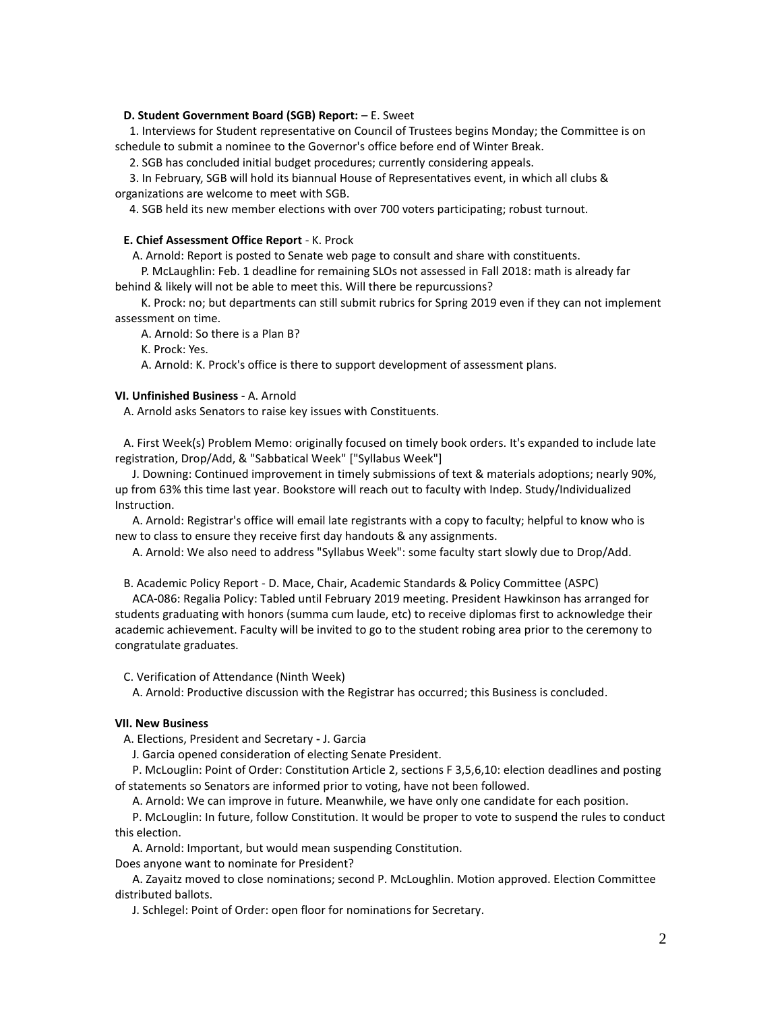# **D. Student Government Board (SGB) Report:**  $- E$ **. Sweet**

 1. Interviews for Student representative on Council of Trustees begins Monday; the Committee is on schedule to submit a nominee to the Governor's office before end of Winter Break.

2. SGB has concluded initial budget procedures; currently considering appeals.

 3. In February, SGB will hold its biannual House of Representatives event, in which all clubs & organizations are welcome to meet with SGB.

4. SGB held its new member elections with over 700 voters participating; robust turnout.

# **E. Chief Assessment Office Report** - K. Prock

A. Arnold: Report is posted to Senate web page to consult and share with constituents.

 P. McLaughlin: Feb. 1 deadline for remaining SLOs not assessed in Fall 2018: math is already far behind & likely will not be able to meet this. Will there be repurcussions?

 K. Prock: no; but departments can still submit rubrics for Spring 2019 even if they can not implement assessment on time.

A. Arnold: So there is a Plan B?

K. Prock: Yes.

A. Arnold: K. Prock's office is there to support development of assessment plans.

### **VI. Unfinished Business** - A. Arnold

A. Arnold asks Senators to raise key issues with Constituents.

 A. First Week(s) Problem Memo: originally focused on timely book orders. It's expanded to include late registration, Drop/Add, & "Sabbatical Week" ["Syllabus Week"]

 J. Downing: Continued improvement in timely submissions of text & materials adoptions; nearly 90%, up from 63% this time last year. Bookstore will reach out to faculty with Indep. Study/Individualized Instruction.

 A. Arnold: Registrar's office will email late registrants with a copy to faculty; helpful to know who is new to class to ensure they receive first day handouts & any assignments.

A. Arnold: We also need to address "Syllabus Week": some faculty start slowly due to Drop/Add.

B. Academic Policy Report - D. Mace, Chair, Academic Standards & Policy Committee (ASPC)

 ACA-086: Regalia Policy: Tabled until February 2019 meeting. President Hawkinson has arranged for students graduating with honors (summa cum laude, etc) to receive diplomas first to acknowledge their academic achievement. Faculty will be invited to go to the student robing area prior to the ceremony to congratulate graduates.

C. Verification of Attendance (Ninth Week)

A. Arnold: Productive discussion with the Registrar has occurred; this Business is concluded.

### **VII. New Business**

A. Elections, President and Secretary **-** J. Garcia

J. Garcia opened consideration of electing Senate President.

 P. McLouglin: Point of Order: Constitution Article 2, sections F 3,5,6,10: election deadlines and posting of statements so Senators are informed prior to voting, have not been followed.

A. Arnold: We can improve in future. Meanwhile, we have only one candidate for each position.

 P. McLouglin: In future, follow Constitution. It would be proper to vote to suspend the rules to conduct this election.

A. Arnold: Important, but would mean suspending Constitution.

Does anyone want to nominate for President?

 A. Zayaitz moved to close nominations; second P. McLoughlin. Motion approved. Election Committee distributed ballots.

J. Schlegel: Point of Order: open floor for nominations for Secretary.